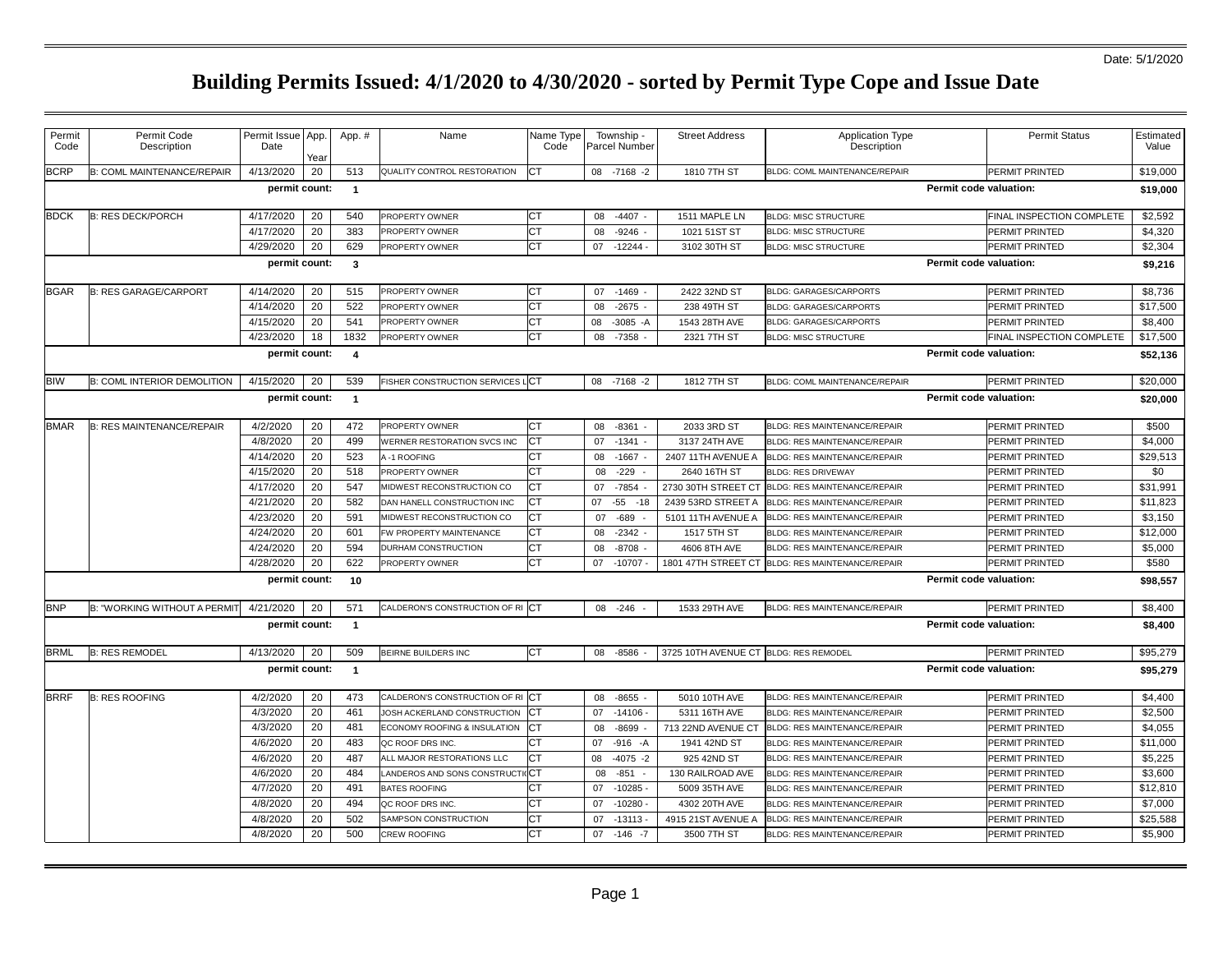| Permit<br>Code | Permit Code<br>Description                                         | Permit Issue App.<br>Date | Year | App. #         | Name                             | Name Type<br>Code | Township -<br>Parcel Number | <b>Street Address</b>                 | <b>Application Type</b><br>Description | <b>Permit Status</b>      | Estimated<br>Value |  |
|----------------|--------------------------------------------------------------------|---------------------------|------|----------------|----------------------------------|-------------------|-----------------------------|---------------------------------------|----------------------------------------|---------------------------|--------------------|--|
| <b>BCRP</b>    | B: COML MAINTENANCE/REPAIR                                         | 4/13/2020                 | 20   | 513            | QUALITY CONTROL RESTORATION      | <b>CT</b>         | 08 -7168 -2                 | 1810 7TH ST                           | BLDG: COML MAINTENANCE/REPAIR          | PERMIT PRINTED            | \$19,000           |  |
|                |                                                                    | permit count:             |      | $\overline{1}$ |                                  |                   |                             |                                       |                                        | Permit code valuation:    | \$19,000           |  |
| <b>BDCK</b>    | <b>B: RES DECK/PORCH</b>                                           | 4/17/2020                 | 20   | 540            | PROPERTY OWNER                   | СT                | 08<br>$-4407$               | 1511 MAPLE LN                         | <b>BLDG: MISC STRUCTURE</b>            | FINAL INSPECTION COMPLETE | \$2,592            |  |
|                |                                                                    | 4/17/2020                 | 20   | 383            | PROPERTY OWNER                   | <b>CT</b>         | 08<br>$-9246$               | 1021 51ST ST                          | <b>BLDG: MISC STRUCTURE</b>            | PERMIT PRINTED            | \$4,320            |  |
|                |                                                                    | 4/29/2020                 | 20   | 629            | PROPERTY OWNER                   | СT                | $-12244-$<br>07             | 3102 30TH ST                          | <b>BLDG: MISC STRUCTURE</b>            | PERMIT PRINTED            | \$2,304            |  |
|                | permit count:<br>Permit code valuation:<br>\$9,216<br>$\mathbf{3}$ |                           |      |                |                                  |                   |                             |                                       |                                        |                           |                    |  |
| <b>BGAR</b>    | <b>B: RES GARAGE/CARPORT</b>                                       | 4/14/2020                 | 20   | 515            | PROPERTY OWNER                   | СT                | $-1469$<br>07               | 2422 32ND ST                          | <b>BLDG: GARAGES/CARPORTS</b>          | PERMIT PRINTED            | \$8,736            |  |
|                |                                                                    | 4/14/2020                 | 20   | 522            | PROPERTY OWNER                   | <b>CT</b>         | $-2675 -$<br>08             | 238 49TH ST                           | <b>BLDG: GARAGES/CARPORTS</b>          | PERMIT PRINTED            | \$17,500           |  |
|                |                                                                    | 4/15/2020                 | 20   | 541            | PROPERTY OWNER                   | CТ                | $-3085 - A$<br>08           | 1543 28TH AVE                         | <b>BLDG: GARAGES/CARPORTS</b>          | PERMIT PRINTED            | \$8,400            |  |
|                |                                                                    | 4/23/2020                 | 18   | 1832           | PROPERTY OWNER                   | <b>CT</b>         | 08<br>$-7358$               | 2321 7TH ST                           | <b>BLDG: MISC STRUCTURE</b>            | FINAL INSPECTION COMPLETE | \$17,500           |  |
|                |                                                                    | permit count:             |      | $\overline{4}$ |                                  |                   |                             |                                       |                                        | Permit code valuation:    | \$52,136           |  |
| <b>BIW</b>     | <b>B: COML INTERIOR DEMOLITION</b>                                 | 4/15/2020                 | 20   | 539            | FISHER CONSTRUCTION SERVICES LCT |                   | $-7168 - 2$<br>08           | 1812 7TH ST                           | BLDG: COML MAINTENANCE/REPAIR          | PERMIT PRINTED            | \$20,000           |  |
|                |                                                                    |                           |      |                |                                  |                   |                             |                                       |                                        |                           |                    |  |
|                |                                                                    | permit count:             |      | $\overline{1}$ |                                  |                   |                             |                                       |                                        | Permit code valuation:    | \$20,000           |  |
| <b>BMAR</b>    | <b>B: RES MAINTENANCE/REPAIR</b>                                   | 4/2/2020                  | 20   | 472            | PROPERTY OWNER                   | CТ                | $-8361 -$<br>08             | 2033 3RD ST                           | <b>BLDG: RES MAINTENANCE/REPAIR</b>    | PERMIT PRINTED            | \$500              |  |
|                |                                                                    | 4/8/2020                  | 20   | 499            | WERNER RESTORATION SVCS INC      | <b>CT</b>         | $-1341 -$<br>07             | 3137 24TH AVE                         | BLDG: RES MAINTENANCE/REPAIR           | PERMIT PRINTED            | \$4,000            |  |
|                |                                                                    | 4/14/2020                 | 20   | 523            | 4-1 ROOFING                      | СT                | $-1667$<br>08               | 2407 11TH AVENUE A                    | BLDG: RES MAINTENANCE/REPAIR           | PERMIT PRINTED            | \$29,513           |  |
|                |                                                                    | 4/15/2020                 | 20   | 518            | PROPERTY OWNER                   | <b>CT</b>         | $-229$<br>08                | 2640 16TH ST                          | <b>BLDG: RES DRIVEWAY</b>              | PERMIT PRINTED            | \$0                |  |
|                |                                                                    | 4/17/2020                 | 20   | 547            | MIDWEST RECONSTRUCTION CO        | <b>CT</b>         | $-7854$<br>07               | 2730 30TH STREET CT                   | BLDG: RES MAINTENANCE/REPAIR           | PERMIT PRINTED            | \$31,991           |  |
|                |                                                                    | 4/21/2020                 | 20   | 582            | DAN HANELL CONSTRUCTION INC      | СT                | $-55 - 18$<br>07            | 2439 53RD STREET A                    | BLDG: RES MAINTENANCE/REPAIR           | PERMIT PRINTED            | \$11,823           |  |
|                |                                                                    | 4/23/2020                 | 20   | 591            | MIDWEST RECONSTRUCTION CO        | CТ                | $-689$<br>07                | 5101 11TH AVENUE A                    | BLDG: RES MAINTENANCE/REPAIR           | PERMIT PRINTED            | \$3,150            |  |
|                |                                                                    | 4/24/2020                 | 20   | 601            | FW PROPERTY MAINTENANCE          | СT                | 08<br>$-2342 -$             | 1517 5TH ST                           | <b>BLDG: RES MAINTENANCE/REPAIR</b>    | PERMIT PRINTED            | \$12,000           |  |
|                |                                                                    | 4/24/2020                 | 20   | 594            | DURHAM CONSTRUCTION              | <b>CT</b>         | $-8708 -$<br>08             | 4606 8TH AVE                          | BLDG: RES MAINTENANCE/REPAIR           | PERMIT PRINTED            | \$5,000            |  |
|                |                                                                    | 4/28/2020                 | 20   | 622            | PROPERTY OWNER                   | <b>CT</b>         | $-10707 -$<br>07            | 1801 47TH STREET CT                   | BLDG: RES MAINTENANCE/REPAIR           | PERMIT PRINTED            | \$580              |  |
|                |                                                                    | permit count:             |      | 10             |                                  |                   |                             |                                       |                                        | Permit code valuation:    | \$98,557           |  |
| <b>BNP</b>     | B: "WORKING WITHOUT A PERMIT                                       | 4/21/2020                 | 20   | 571            | CALDERON'S CONSTRUCTION OF RICT  |                   | $-246$<br>08                | 1533 29TH AVE                         | BLDG: RES MAINTENANCE/REPAIR           | PERMIT PRINTED            | \$8,400            |  |
|                |                                                                    | permit count:             |      | $\overline{1}$ |                                  |                   |                             |                                       |                                        | Permit code valuation:    | \$8,400            |  |
| <b>BRML</b>    | <b>B: RES REMODEL</b>                                              | 4/13/2020                 | 20   | 509            | BEIRNE BUILDERS INC              | <b>CT</b>         | $-8586$<br>08               | 3725 10TH AVENUE CT BLDG: RES REMODEL |                                        | PERMIT PRINTED            | \$95,279           |  |
|                |                                                                    | permit count:             |      | $\overline{1}$ |                                  |                   |                             |                                       |                                        | Permit code valuation:    | \$95,279           |  |
| <b>BRRF</b>    | <b>B: RES ROOFING</b>                                              | 4/2/2020                  | 20   | 473            | CALDERON'S CONSTRUCTION OF RICT  |                   | $-8655 -$<br>08             | 5010 10TH AVE                         | BLDG: RES MAINTENANCE/REPAIR           | PERMIT PRINTED            | \$4,400            |  |
|                |                                                                    | 4/3/2020                  | 20   | 461            | JOSH ACKERLAND CONSTRUCTION      | СT                | $-14106 -$<br>07            | 5311 16TH AVE                         | BLDG: RES MAINTENANCE/REPAIR           | PERMIT PRINTED            | \$2,500            |  |
|                |                                                                    | 4/3/2020                  | 20   | 481            | ECONOMY ROOFING & INSULATION     | СT                | $-8699$<br>08               | 713 22ND AVENUE CT                    | BLDG: RES MAINTENANCE/REPAIR           | PERMIT PRINTED            | \$4,055            |  |
|                |                                                                    | 4/6/2020                  | 20   | 483            | QC ROOF DRS INC                  | СT                | $-916 - A$<br>07            | 1941 42ND ST                          | BLDG: RES MAINTENANCE/REPAIR           | PERMIT PRINTED            | \$11,000           |  |
|                |                                                                    | 4/6/2020                  | 20   | 487            | ALL MAJOR RESTORATIONS LLC       | <b>CT</b>         | 08<br>$-4075 -2$            | 925 42ND ST                           | BLDG: RES MAINTENANCE/REPAIR           | PERMIT PRINTED            | \$5,225            |  |
|                |                                                                    | 4/6/2020                  | 20   | 484            | ANDEROS AND SONS CONSTRUCT       | dC⊤               | 08<br>$-851$                | 130 RAILROAD AVE                      | <b>BLDG: RES MAINTENANCE/REPAIR</b>    | PERMIT PRINTED            | \$3,600            |  |
|                |                                                                    | 4/7/2020                  | 20   | 491            | <b>BATES ROOFING</b>             | СT                | $-10285 -$<br>07            | 5009 35TH AVE                         | BLDG: RES MAINTENANCE/REPAIR           | PERMIT PRINTED            | \$12,810           |  |
|                |                                                                    | 4/8/2020                  | 20   | 494            | QC ROOF DRS INC.                 | СT                | 07<br>$-10280 -$            | 4302 20TH AVE                         | <b>BLDG: RES MAINTENANCE/REPAIR</b>    | PERMIT PRINTED            | \$7,000            |  |
|                |                                                                    | 4/8/2020                  | 20   | 502            | SAMPSON CONSTRUCTION             | СT                | $-13113-$<br>07             | 4915 21ST AVENUE A                    | BLDG: RES MAINTENANCE/REPAIR           | PERMIT PRINTED            | \$25,588           |  |
|                |                                                                    | 4/8/2020                  | 20   | 500            | CREW ROOFING                     | СT                | 07<br>$-146 - 7$            | 3500 7TH ST                           | <b>BLDG: RES MAINTENANCE/REPAIR</b>    | PERMIT PRINTED            | \$5,900            |  |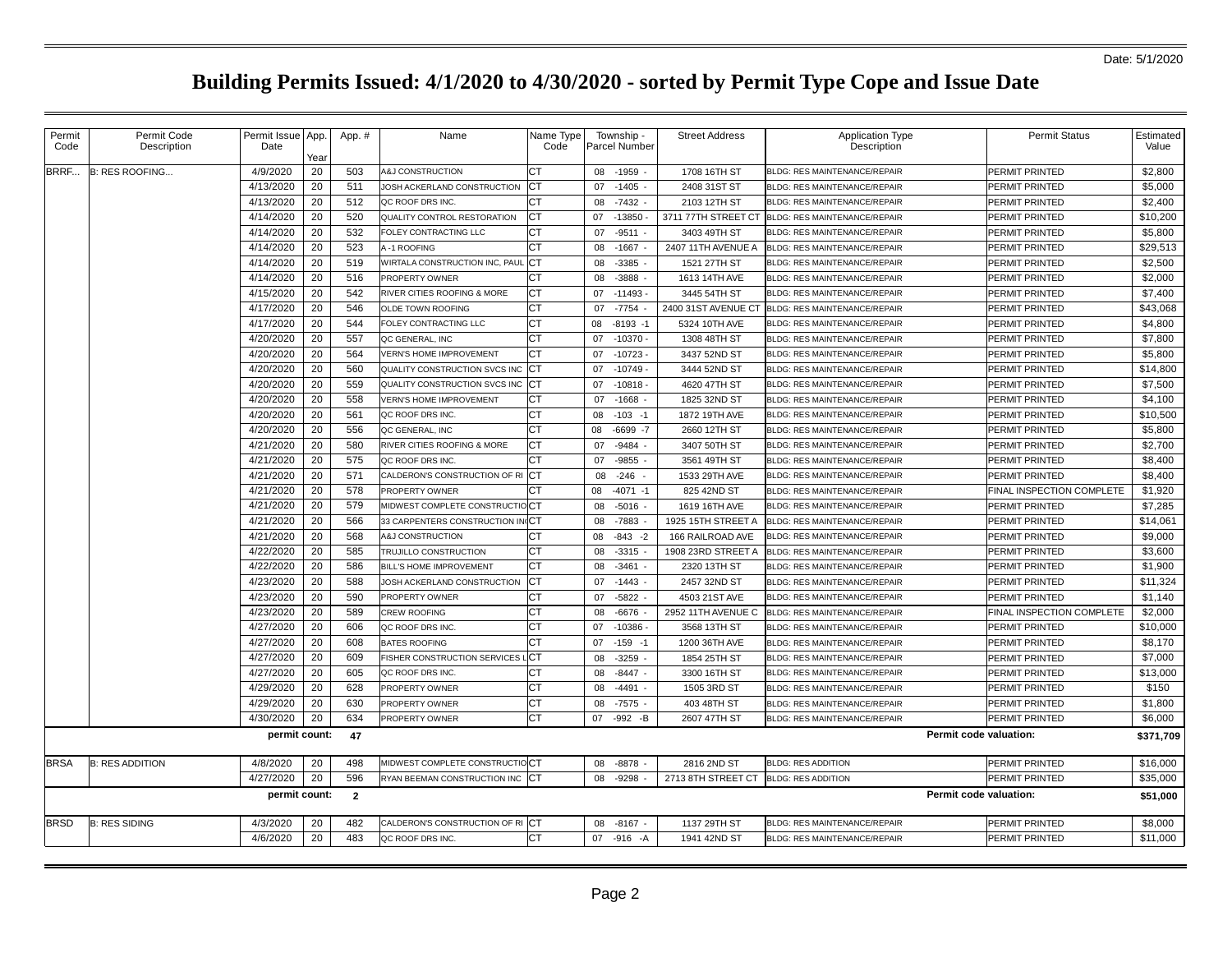| Permit<br>Code | Permit Code<br>Description | Permit Issue App.<br>Date | Year | App. #         | Name                             | Name Type<br>Code | Township -<br>Parcel Number | <b>Street Address</b> | <b>Application Type</b><br>Description | <b>Permit Status</b>      | Estimated<br>Value |
|----------------|----------------------------|---------------------------|------|----------------|----------------------------------|-------------------|-----------------------------|-----------------------|----------------------------------------|---------------------------|--------------------|
| BRRF           | B: RES ROOFING             | 4/9/2020                  | 20   | 503            | <b>A&amp;J CONSTRUCTION</b>      | <b>CT</b>         | 08<br>-1959                 | 1708 16TH ST          | BLDG: RES MAINTENANCE/REPAIR           | PERMIT PRINTED            | \$2,800            |
|                |                            | 4/13/2020                 | 20   | 511            | JOSH ACKERLAND CONSTRUCTION      | СT                | 07<br>$-1405$               | 2408 31ST ST          | <b>BLDG: RES MAINTENANCE/REPAIR</b>    | PERMIT PRINTED            | \$5,000            |
|                |                            | 4/13/2020                 | 20   | 512            | QC ROOF DRS INC.                 |                   | $-7432$<br>08               | 2103 12TH ST          | <b>BLDG: RES MAINTENANCE/REPAIR</b>    | PERMIT PRINTED            | \$2,400            |
|                |                            | 4/14/2020                 | 20   | 520            | QUALITY CONTROL RESTORATION      | CT                | $-13850$<br>07              | 3711 77TH STREET CT   | BLDG: RES MAINTENANCE/REPAIR           | PERMIT PRINTED            | \$10,200           |
|                |                            | 4/14/2020                 | 20   | 532            | FOLEY CONTRACTING LLC            | CТ                | $-9511 -$<br>07             | 3403 49TH ST          | BLDG: RES MAINTENANCE/REPAIR           | PERMIT PRINTED            | \$5,800            |
|                |                            | 4/14/2020                 | 20   | 523            | <b>A-1 ROOFING</b>               | СT                | $-1667 -$<br>08             | 2407 11TH AVENUE A    | BLDG: RES MAINTENANCE/REPAIR           | PERMIT PRINTED            | \$29,513           |
|                |                            | 4/14/2020                 | 20   | 519            | WIRTALA CONSTRUCTION INC, PAUL   | СT                | $-3385 -$<br>08             | 1521 27TH ST          | BLDG: RES MAINTENANCE/REPAIR           | PERMIT PRINTED            | \$2,500            |
|                |                            | 4/14/2020                 | 20   | 516            | PROPERTY OWNER                   | CТ                | $-3888$<br>08               | 1613 14TH AVE         | BLDG: RES MAINTENANCE/REPAIR           | PERMIT PRINTED            | \$2,000            |
|                |                            | 4/15/2020                 | 20   | 542            | RIVER CITIES ROOFING & MORE      | СT                | $-11493 -$<br>07            | 3445 54TH ST          | BLDG: RES MAINTENANCE/REPAIR           | PERMIT PRINTED            | \$7,400            |
|                |                            | 4/17/2020                 | 20   | 546            | OLDE TOWN ROOFING                | СT                | $-7754$<br>07               | 2400 31ST AVENUE CT   | BLDG: RES MAINTENANCE/REPAIR           | PERMIT PRINTED            | \$43,068           |
|                |                            | 4/17/2020                 | 20   | 544            | FOLEY CONTRACTING LLC            | <b>CT</b>         | $-8193 - 1$<br>08           | 5324 10TH AVE         | BLDG: RES MAINTENANCE/REPAIR           | PERMIT PRINTED            | \$4,800            |
|                |                            | 4/20/2020                 | 20   | 557            | QC GENERAL, INC                  | CТ                | $-10370 -$<br>07            | 1308 48TH ST          | BLDG: RES MAINTENANCE/REPAIR           | PERMIT PRINTED            | \$7,800            |
|                |                            | 4/20/2020                 | 20   | 564            | <b>VERN'S HOME IMPROVEMENT</b>   | СT                | $-10723 -$<br>07            | 3437 52ND ST          | BLDG: RES MAINTENANCE/REPAIR           | PERMIT PRINTED            | \$5,800            |
|                |                            | 4/20/2020                 | 20   | 560            | QUALITY CONSTRUCTION SVCS INC    | СT                | $-10749 -$<br>07            | 3444 52ND ST          | BLDG: RES MAINTENANCE/REPAIR           | PERMIT PRINTED            | \$14,800           |
|                |                            | 4/20/2020                 | 20   | 559            | QUALITY CONSTRUCTION SVCS INC    | CT                | $-10818 -$<br>07            | 4620 47TH ST          | BLDG: RES MAINTENANCE/REPAIR           | PERMIT PRINTED            | \$7,500            |
|                |                            | 4/20/2020                 | 20   | 558            | <b>VERN'S HOME IMPROVEMENT</b>   | СT                | $-1668$<br>07               | 1825 32ND ST          | BLDG: RES MAINTENANCE/REPAIR           | PERMIT PRINTED            | \$4,100            |
|                |                            | 4/20/2020                 | 20   | 561            | QC ROOF DRS INC.                 | <b>CT</b>         | $-103 - 1$<br>08            | 1872 19TH AVE         | BLDG: RES MAINTENANCE/REPAIR           | PERMIT PRINTED            | \$10,500           |
|                |                            | 4/20/2020                 | 20   | 556            | QC GENERAL, INC                  | СT                | $-6699 - 7$<br>08           | 2660 12TH ST          | BLDG: RES MAINTENANCE/REPAIR           | PERMIT PRINTED            | \$5,800            |
|                |                            | 4/21/2020                 | 20   | 580            | RIVER CITIES ROOFING & MORE      | CT                | -9484<br>07                 | 3407 50TH ST          | BLDG: RES MAINTENANCE/REPAIR           | PERMIT PRINTED            | \$2,700            |
|                |                            | 4/21/2020                 | 20   | 575            | QC ROOF DRS INC.                 |                   | $-9855$<br>07               | 3561 49TH ST          | <b>BLDG: RES MAINTENANCE/REPAIR</b>    | PERMIT PRINTED            | \$8,400            |
|                |                            | 4/21/2020                 | 20   | 571            | CALDERON'S CONSTRUCTION OF RICT  |                   | $-246 -$<br>08              | 1533 29TH AVE         | <b>BLDG: RES MAINTENANCE/REPAIR</b>    | PERMIT PRINTED            | \$8,400            |
|                |                            | 4/21/2020                 | 20   | 578            | PROPERTY OWNER                   | СT                | 08<br>$-4071 - 1$           | 825 42ND ST           | BLDG: RES MAINTENANCE/REPAIR           | FINAL INSPECTION COMPLETE | \$1,920            |
|                |                            | 4/21/2020                 | 20   | 579            | MIDWEST COMPLETE CONSTRUCTIOCT   |                   | $-5016 -$<br>08             | 1619 16TH AVE         | BLDG: RES MAINTENANCE/REPAIR           | PERMIT PRINTED            | \$7,285            |
|                |                            | 4/21/2020                 | 20   | 566            | 33 CARPENTERS CONSTRUCTION IN CT |                   | $-7883$<br>08               | 1925 15TH STREET A    | BLDG: RES MAINTENANCE/REPAIR           | PERMIT PRINTED            | \$14.061           |
|                |                            | 4/21/2020                 | 20   | 568            | <b>A&amp;J CONSTRUCTION</b>      | CТ                | $-843 - 2$<br>08            | 166 RAILROAD AVE      | BLDG: RES MAINTENANCE/REPAIR           | PERMIT PRINTED            | \$9,000            |
|                |                            | 4/22/2020                 | 20   | 585            | TRUJILLO CONSTRUCTION            | СT                | $-3315$<br>08               | 1908 23RD STREET A    | BLDG: RES MAINTENANCE/REPAIR           | PERMIT PRINTED            | \$3,600            |
|                |                            | 4/22/2020                 | 20   | 586            | BILL'S HOME IMPROVEMENT          | СT                | $-3461 -$<br>08             | 2320 13TH ST          | BLDG: RES MAINTENANCE/REPAIR           | PERMIT PRINTED            | \$1,900            |
|                |                            | 4/23/2020                 | 20   | 588            | JOSH ACKERLAND CONSTRUCTION      | СT                | $-1443$<br>07               | 2457 32ND ST          | <b>BLDG: RES MAINTENANCE/REPAIR</b>    | PERMIT PRINTED            | \$11,324           |
|                |                            | 4/23/2020                 | 20   | 590            | PROPERTY OWNER                   | СT                | $-5822 -$<br>07             | 4503 21ST AVE         | BLDG: RES MAINTENANCE/REPAIR           | PERMIT PRINTED            | \$1,140            |
|                |                            | 4/23/2020                 | 20   | 589            | CREW ROOFING                     | СT                | $-6676 -$<br>08             | 2952 11TH AVENUE C    | BLDG: RES MAINTENANCE/REPAIR           | FINAL INSPECTION COMPLETE | \$2,000            |
|                |                            | 4/27/2020                 | 20   | 606            | QC ROOF DRS INC.                 | СT                | $-10386 -$<br>07            | 3568 13TH ST          | BLDG: RES MAINTENANCE/REPAIR           | PERMIT PRINTED            | \$10,000           |
|                |                            | 4/27/2020                 | 20   | 608            | BATES ROOFING                    | СT                | 07<br>$-159 - 1$            | 1200 36TH AVE         | BLDG: RES MAINTENANCE/REPAIR           | PERMIT PRINTED            | \$8,170            |
|                |                            | 4/27/2020                 | 20   | 609            | FISHER CONSTRUCTION SERVICES     | .CT               | $-3259$<br>08               | 1854 25TH ST          | BLDG: RES MAINTENANCE/REPAIR           | PERMIT PRINTED            | \$7,000            |
|                |                            | 4/27/2020                 | 20   | 605            | QC ROOF DRS INC                  | СT                | $-8447 -$<br>08             | 3300 16TH ST          | BLDG: RES MAINTENANCE/REPAIR           | PERMIT PRINTED            | \$13,000           |
|                |                            | 4/29/2020                 | 20   | 628            | PROPERTY OWNER                   | СT                | $-4491 -$<br>08             | 1505 3RD ST           | BLDG: RES MAINTENANCE/REPAIR           | PERMIT PRINTED            | \$150              |
|                |                            | 4/29/2020                 | 20   | 630            | PROPERTY OWNER                   | СT                | $-7575 -$<br>08             | 403 48TH ST           | <b>BLDG: RES MAINTENANCE/REPAIR</b>    | PERMIT PRINTED            | \$1,800            |
|                |                            | 4/30/2020                 | 20   | 634            | PROPERTY OWNER                   | CТ                | $-992 - B$<br>07            | 2607 47TH ST          | BLDG: RES MAINTENANCE/REPAIR           | PERMIT PRINTED            | \$6,000            |
|                |                            | permit count:             |      | 47             |                                  |                   |                             |                       |                                        | Permit code valuation:    | \$371,709          |
| <b>BRSA</b>    | <b>B: RES ADDITION</b>     | 4/8/2020                  | 20   | 498            | MIDWEST COMPLETE CONSTRUCTIOCT   |                   | $-8878$ -<br>08             | 2816 2ND ST           | <b>BLDG: RES ADDITION</b>              | PERMIT PRINTED            | \$16,000           |
|                |                            | 4/27/2020                 | 20   | 596            | RYAN BEEMAN CONSTRUCTION INC CT  |                   | $-9298$<br>08               | 2713 8TH STREET CT    | <b>BLDG: RES ADDITION</b>              | PERMIT PRINTED            | \$35,000           |
|                |                            | permit count:             |      | $\overline{2}$ |                                  |                   |                             |                       |                                        | Permit code valuation:    | \$51,000           |
| <b>BRSD</b>    | <b>B: RES SIDING</b>       | 4/3/2020                  | 20   | 482            | CALDERON'S CONSTRUCTION OF RICT  |                   | $-8167$<br>08               | 1137 29TH ST          | BLDG: RES MAINTENANCE/REPAIR           | PERMIT PRINTED            | \$8,000            |
|                |                            | 4/6/2020                  | 20   | 483            | QC ROOF DRS INC.                 | CT                | 07 -916 -A                  | 1941 42ND ST          | BLDG: RES MAINTENANCE/REPAIR           | PERMIT PRINTED            | \$11,000           |
|                |                            |                           |      |                |                                  |                   |                             |                       |                                        |                           |                    |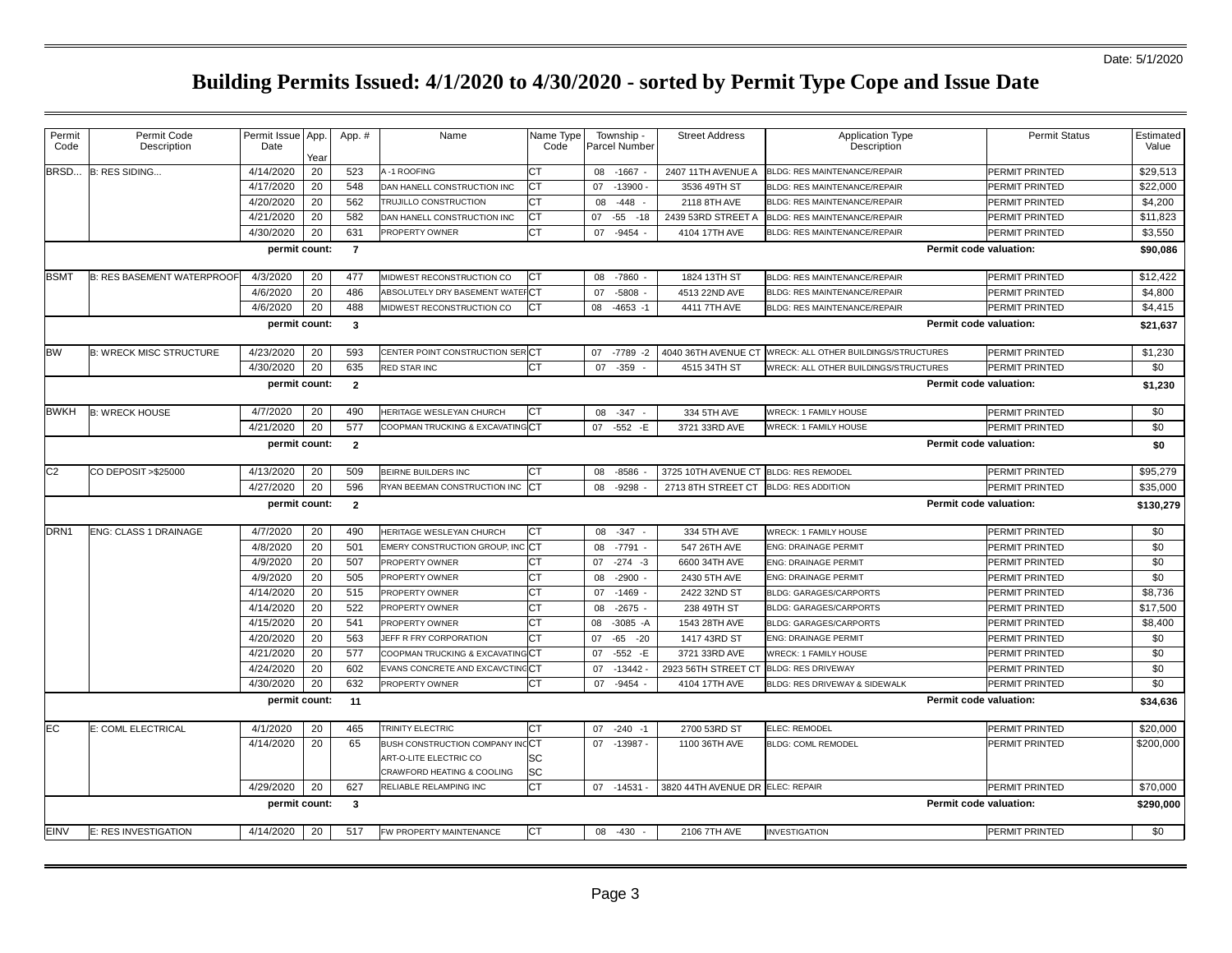| Permit<br>Code   | Permit Code<br>Description                                | Permit Issue App.<br>Date | Year | App. #         | Name                                                   | Name Type<br>Code | Township -<br>Parcel Number | <b>Street Address</b>            | Application Type<br>Description       | <b>Permit Status</b>   | Estimated<br>Value |
|------------------|-----------------------------------------------------------|---------------------------|------|----------------|--------------------------------------------------------|-------------------|-----------------------------|----------------------------------|---------------------------------------|------------------------|--------------------|
| BRSD             | B: RES SIDING                                             | 4/14/2020                 | 20   | 523            | A-1 ROOFING                                            | СT                | 08<br>-1667                 | 2407 11TH AVENUE A               | BLDG: RES MAINTENANCE/REPAIR          | PERMIT PRINTED         | \$29,513           |
|                  |                                                           | 4/17/2020                 | 20   | 548            | DAN HANELL CONSTRUCTION INC                            | СT                | $-13900$<br>07              | 3536 49TH ST                     | <b>BLDG: RES MAINTENANCE/REPAIR</b>   | PERMIT PRINTED         | \$22,000           |
|                  |                                                           | 4/20/2020                 | 20   | 562            | TRUJILLO CONSTRUCTION                                  | CТ                | 08<br>-448                  | 2118 8TH AVE                     | <b>BLDG: RES MAINTENANCE/REPAIR</b>   | PERMIT PRINTED         | \$4,200            |
|                  |                                                           | 4/21/2020                 | 20   | 582            | DAN HANELL CONSTRUCTION INC                            | CТ                | $-55$<br>07<br>$-18$        | 2439 53RD STREET A               | <b>BLDG: RES MAINTENANCE/REPAIR</b>   | PERMIT PRINTED         | \$11,823           |
|                  |                                                           | 4/30/2020                 | 20   | 631            | PROPERTY OWNER                                         | СT                | 07<br>$-9454$               | 4104 17TH AVE                    | BLDG: RES MAINTENANCE/REPAIR          | PERMIT PRINTED         | \$3,550            |
|                  |                                                           | permit count:             |      | $\overline{7}$ |                                                        |                   |                             |                                  |                                       | Permit code valuation: | \$90,086           |
| BSMT             | <b>B: RES BASEMENT WATERPROOF</b>                         | 4/3/2020                  | 20   | 477            | MIDWEST RECONSTRUCTION CO                              | СT                | -7860<br>08                 | 1824 13TH ST                     | <b>BLDG: RES MAINTENANCE/REPAIR</b>   | PERMIT PRINTED         | \$12,422           |
|                  |                                                           | 4/6/2020                  | 20   | 486            | ABSOLUTELY DRY BASEMENT WATE                           | IСТ               | 07<br>$-5808$               | 4513 22ND AVE                    | <b>BLDG: RES MAINTENANCE/REPAIR</b>   | PERMIT PRINTED         | \$4,800            |
|                  |                                                           | 4/6/2020                  | 20   | 488            | MIDWEST RECONSTRUCTION CO                              | <b>CT</b>         | $-4653 - 1$<br>08           | 4411 7TH AVE                     | <b>BLDG: RES MAINTENANCE/REPAIR</b>   | PERMIT PRINTED         | \$4,415            |
|                  |                                                           | permit count:             |      | $\mathbf{3}$   |                                                        |                   |                             |                                  |                                       | Permit code valuation: | \$21,637           |
| <b>BW</b>        | <b>B: WRECK MISC STRUCTURE</b>                            | 4/23/2020                 | 20   | 593            | CENTER POINT CONSTRUCTION SER CT                       |                   | 07 -7789 -2                 | 4040 36TH AVENUE CT              | WRECK: ALL OTHER BUILDINGS/STRUCTURES | PERMIT PRINTED         | \$1,230            |
|                  |                                                           | 4/30/2020                 | 20   | 635            | <b>RED STAR INC</b>                                    | СT                | $-359$<br>07                | 4515 34TH ST                     | WRECK: ALL OTHER BUILDINGS/STRUCTURES | PERMIT PRINTED         | \$0                |
|                  | $\overline{2}$<br>Permit code valuation:<br>permit count: |                           |      |                |                                                        |                   |                             |                                  |                                       |                        |                    |
| <b>BWKH</b>      | <b>B: WRECK HOUSE</b>                                     | 4/7/2020                  | 20   | 490            | HERITAGE WESLEYAN CHURCH                               | СT                | 08<br>$-347 -$              | 334 5TH AVE                      | <b>WRECK: 1 FAMILY HOUSE</b>          | PERMIT PRINTED         | \$0                |
|                  |                                                           | 4/21/2020                 | 20   | 577            | COOPMAN TRUCKING & EXCAVATING CT                       |                   | $-552 - E$<br>07            | 3721 33RD AVE                    | WRECK: 1 FAMILY HOUSE                 | PERMIT PRINTED         | \$0                |
|                  |                                                           | permit count:             |      | $\overline{2}$ |                                                        |                   |                             |                                  |                                       | Permit code valuation: | \$0                |
| C <sub>2</sub>   | CO DEPOSIT >\$25000                                       | 4/13/2020                 | 20   | 509            | BEIRNE BUILDERS INC                                    | CТ                | 08<br>$-8586$               | 3725 10TH AVENUE CT              | <b>BLDG: RES REMODEL</b>              | PERMIT PRINTED         | \$95,279           |
|                  |                                                           | 4/27/2020                 | 20   | 596            | RYAN BEEMAN CONSTRUCTION INC                           | CT                | 08<br>$-9298$               | 2713 8TH STREET CT               | <b>BLDG: RES ADDITION</b>             | PERMIT PRINTED         | \$35,000           |
|                  |                                                           | permit count:             |      | $\overline{2}$ |                                                        |                   |                             |                                  |                                       | Permit code valuation: | \$130,279          |
| DRN <sub>1</sub> | <b>ENG: CLASS 1 DRAINAGE</b>                              | 4/7/2020                  | 20   | 490            | HERITAGE WESLEYAN CHURCH                               | СT                | $-347$<br>08                | 334 5TH AVE                      | <b>WRECK: 1 FAMILY HOUSE</b>          | PERMIT PRINTED         | \$0                |
|                  |                                                           | 4/8/2020                  | 20   | 501            | EMERY CONSTRUCTION GROUP, INC                          | <b>CT</b>         | $-7791 -$<br>08             | 547 26TH AVE                     | <b>ENG: DRAINAGE PERMIT</b>           | PERMIT PRINTED         | \$0                |
|                  |                                                           | 4/9/2020                  | 20   | 507            | PROPERTY OWNER                                         | CТ                | $-274 - 3$<br>07            | 6600 34TH AVE                    | <b>ENG: DRAINAGE PERMIT</b>           | PERMIT PRINTED         | \$0                |
|                  |                                                           | 4/9/2020                  | 20   | 505            | PROPERTY OWNER                                         | СT                | $-2900$<br>08               | 2430 5TH AVE                     | ENG: DRAINAGE PERMIT                  | PERMIT PRINTED         | \$0                |
|                  |                                                           | 4/14/2020                 | 20   | 515            | <b>PROPERTY OWNER</b>                                  | СT                | $-1469$<br>07               | 2422 32ND ST                     | <b>BLDG: GARAGES/CARPORTS</b>         | PERMIT PRINTED         | \$8,736            |
|                  |                                                           | 4/14/2020                 | 20   | 522            | PROPERTY OWNER                                         | СT                | $-2675$<br>08               | 238 49TH ST                      | <b>BLDG: GARAGES/CARPORTS</b>         | PERMIT PRINTED         | \$17,500           |
|                  |                                                           | 4/15/2020                 | 20   | 541            | PROPERTY OWNER                                         | СT                | $-3085 - A$<br>08           | 1543 28TH AVE                    | <b>BLDG: GARAGES/CARPORTS</b>         | PERMIT PRINTED         | \$8,400            |
|                  |                                                           | 4/20/2020                 | 20   | 563            | JEFF R FRY CORPORATION                                 | CТ                | $-65$<br>$-20$<br>07        | 1417 43RD ST                     | ENG: DRAINAGE PERMIT                  | PERMIT PRINTED         | \$0                |
|                  |                                                           | 4/21/2020                 | 20   | 577            | COOPMAN TRUCKING & EXCAVATIN                           | IСТ               | $-552 - E$<br>07            | 3721 33RD AVE                    | <b>WRECK: 1 FAMILY HOUSE</b>          | PERMIT PRINTED         | \$0                |
|                  |                                                           | 4/24/2020                 | 20   | 602            | EVANS CONCRETE AND EXCAVCTIN                           | :CT               | 07<br>$-13442$              | 2923 56TH STREET CT              | <b>BLDG: RES DRIVEWAY</b>             | PERMIT PRINTED         | \$0                |
|                  |                                                           | 4/30/2020                 | 20   | 632            | PROPERTY OWNER                                         | СT                | $-9454$<br>07               | 4104 17TH AVE                    | BLDG: RES DRIVEWAY & SIDEWALK         | PERMIT PRINTED         | \$0                |
|                  |                                                           | permit count:             |      | 11             |                                                        |                   |                             |                                  |                                       | Permit code valuation: | \$34,636           |
| <b>EC</b>        | E: COML ELECTRICAL                                        | 4/1/2020                  | 20   | 465            | TRINITY ELECTRIC                                       | СT                | $-240$<br>07<br>$-1$        | 2700 53RD ST                     | ELEC: REMODEL                         | PERMIT PRINTED         | \$20,000           |
|                  |                                                           | 4/14/2020                 | 20   | 65             | BUSH CONSTRUCTION COMPANY IN<br>ART-O-LITE ELECTRIC CO | <b>CT</b><br>SC   | $-13987 -$<br>07            | 1100 36TH AVE                    | <b>BLDG: COML REMODEL</b>             | PERMIT PRINTED         | \$200,000          |
|                  |                                                           |                           |      |                | CRAWFORD HEATING & COOLING                             | SC                |                             |                                  |                                       |                        |                    |
|                  |                                                           | 4/29/2020                 | 20   | 627            | RELIABLE RELAMPING INC                                 | CT                | 07 -14531                   | 3820 44TH AVENUE DR ELEC: REPAIR |                                       | PERMIT PRINTED         | \$70,000           |
|                  |                                                           | permit count:             |      | $\mathbf{3}$   |                                                        |                   |                             |                                  |                                       | Permit code valuation: | \$290,000          |
| EINV             | E: RES INVESTIGATION                                      | 4/14/2020                 | 20   | 517            | FW PROPERTY MAINTENANCE                                | СT                | 08 -430                     | 2106 7TH AVE                     | <b>INVESTIGATION</b>                  | PERMIT PRINTED         | \$0                |
|                  |                                                           |                           |      |                |                                                        |                   |                             |                                  |                                       |                        |                    |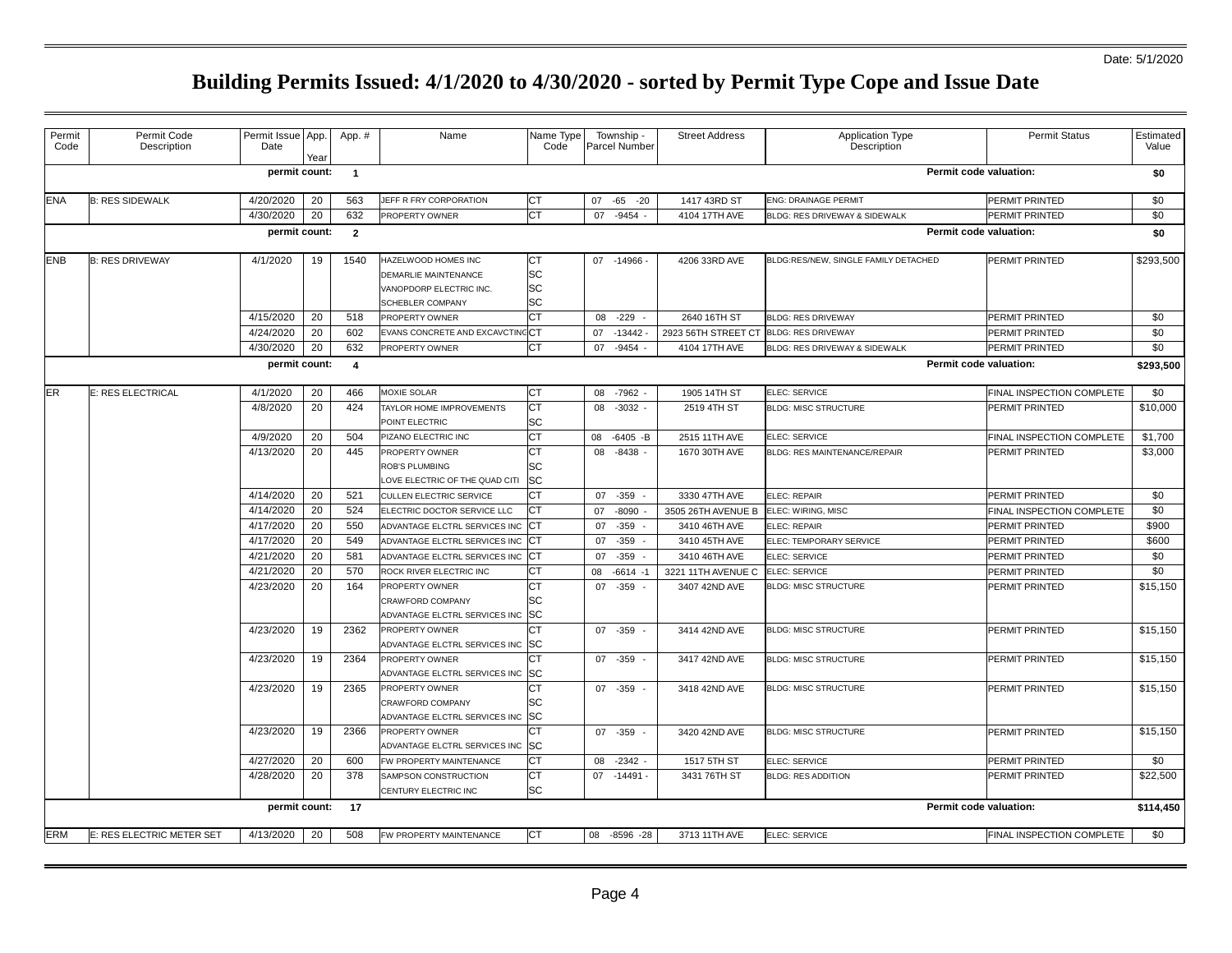## Date: 5/1/2020

| Permit<br>Code | Permit Code<br>Description | Permit Issue App.<br>Date | Year | App. #                  | Name                                                                                       | Name Type<br>Code           | Township -<br>Parcel Number | <b>Street Address</b>                  | Application Type<br>Description      | <b>Permit Status</b>      | Estimated<br>Value |
|----------------|----------------------------|---------------------------|------|-------------------------|--------------------------------------------------------------------------------------------|-----------------------------|-----------------------------|----------------------------------------|--------------------------------------|---------------------------|--------------------|
|                |                            | permit count:             |      | $\overline{1}$          |                                                                                            |                             |                             |                                        |                                      | Permit code valuation:    | \$0                |
| ENA            | <b>B: RES SIDEWALK</b>     | 4/20/2020                 | 20   | 563                     | JEFF R FRY CORPORATION                                                                     | СT                          | 07 -65 -20                  | 1417 43RD ST                           | <b>ENG: DRAINAGE PERMIT</b>          | PERMIT PRINTED            | \$0                |
|                |                            | 4/30/2020                 | 20   | 632                     | PROPERTY OWNER                                                                             | <b>CT</b>                   | 07 -9454 -                  | 4104 17TH AVE                          | BLDG: RES DRIVEWAY & SIDEWALK        | PERMIT PRINTED            | \$0                |
|                |                            | permit count:             |      | $\overline{2}$          |                                                                                            |                             |                             |                                        |                                      | Permit code valuation:    | \$0                |
| <b>ENB</b>     | <b>B: RES DRIVEWAY</b>     | 4/1/2020                  | 19   | 1540                    | HAZELWOOD HOMES INC<br>DEMARLIE MAINTENANCE<br>VANOPDORP ELECTRIC INC.<br>SCHEBLER COMPANY | СT<br><b>SC</b><br>SC<br>SC | 07 -14966 -                 | 4206 33RD AVE                          | BLDG:RES/NEW, SINGLE FAMILY DETACHED | PERMIT PRINTED            | \$293,500          |
|                |                            | 4/15/2020                 | 20   | 518                     | PROPERTY OWNER                                                                             | СT                          | $-229 -$<br>08              | 2640 16TH ST                           | <b>BLDG: RES DRIVEWAY</b>            | PERMIT PRINTED            | \$0                |
|                |                            | 4/24/2020                 | 20   | 602                     | EVANS CONCRETE AND EXCAVCTIN                                                               | clC⊤                        | 07<br>$-13442 -$            | 2923 56TH STREET CT BLDG: RES DRIVEWAY |                                      | PERMIT PRINTED            | \$0                |
|                |                            | 4/30/2020                 | 20   | 632                     | PROPERTY OWNER                                                                             | <b>CT</b>                   | $-9454$<br>07               | 4104 17TH AVE                          | BLDG: RES DRIVEWAY & SIDEWALK        | PERMIT PRINTED            | \$0                |
|                |                            | permit count:             |      | $\overline{\mathbf{4}}$ |                                                                                            |                             |                             |                                        |                                      | Permit code valuation:    | \$293,500          |
| ER             | <b>E: RES ELECTRICAL</b>   | 4/1/2020                  | 20   | 466                     | MOXIE SOLAR                                                                                | СT                          | -7962<br>08                 | 1905 14TH ST                           | ELEC: SERVICE                        | FINAL INSPECTION COMPLETE | \$0                |
|                |                            | 4/8/2020                  | 20   | 424                     | TAYLOR HOME IMPROVEMENTS<br>POINT ELECTRIC                                                 | СT<br>SC                    | 08<br>-3032                 | 2519 4TH ST                            | <b>BLDG: MISC STRUCTURE</b>          | PERMIT PRINTED            | \$10,000           |
|                |                            | 4/9/2020                  | 20   | 504                     | PIZANO ELECTRIC INC                                                                        | <b>CT</b>                   | 08<br>$-6405 - B$           | 2515 11TH AVE                          | <b>ELEC: SERVICE</b>                 | FINAL INSPECTION COMPLETE | \$1,700            |
|                |                            | 4/13/2020                 | 20   | 445                     | PROPERTY OWNER<br><b>ROB'S PLUMBING</b><br>LOVE ELECTRIC OF THE QUAD CITI                  | <b>CT</b><br>SC<br>SC       | 08<br>$-8438$               | 1670 30TH AVE                          | <b>BLDG: RES MAINTENANCE/REPAIR</b>  | PERMIT PRINTED            | \$3,000            |
|                |                            | 4/14/2020                 | 20   | 521                     | <b>CULLEN ELECTRIC SERVICE</b>                                                             | СT                          | $-359$<br>07                | 3330 47TH AVE                          | <b>ELEC: REPAIR</b>                  | PERMIT PRINTED            | \$0                |
|                |                            | 4/14/2020                 | 20   | 524                     | ELECTRIC DOCTOR SERVICE LLC                                                                | <b>CT</b>                   | $-8090$<br>07               | 3505 26TH AVENUE B                     | ELEC: WIRING, MISC                   | FINAL INSPECTION COMPLETE | \$0                |
|                |                            | 4/17/2020                 | 20   | 550                     | ADVANTAGE ELCTRL SERVICES INC                                                              | СT                          | $-359$<br>07                | 3410 46TH AVE                          | ELEC: REPAIR                         | PERMIT PRINTED            | \$900              |
|                |                            | 4/17/2020                 | 20   | 549                     | ADVANTAGE ELCTRL SERVICES INC                                                              | СT                          | $-359$<br>07                | 3410 45TH AVE                          | ELEC: TEMPORARY SERVICE              | PERMIT PRINTED            | \$600              |
|                |                            | 4/21/2020                 | 20   | 581                     | ADVANTAGE ELCTRL SERVICES INC                                                              | <b>CT</b>                   | 07<br>$-359$                | 3410 46TH AVE                          | ELEC: SERVICE                        | PERMIT PRINTED            | \$0                |
|                |                            | 4/21/2020                 | 20   | 570                     | ROCK RIVER ELECTRIC INC                                                                    | СT                          | 08<br>$-6614 - 1$           | 3221 11TH AVENUE C                     | <b>ELEC: SERVICE</b>                 | PERMIT PRINTED            | \$0                |
|                |                            | 4/23/2020                 | 20   | 164                     | PROPERTY OWNER<br>CRAWFORD COMPANY<br>ADVANTAGE ELCTRL SERVICES INC                        | СT<br>SC<br>SC              | 07<br>-359                  | 3407 42ND AVE                          | <b>BLDG: MISC STRUCTURE</b>          | PERMIT PRINTED            | \$15,150           |
|                |                            | 4/23/2020                 | 19   | 2362                    | PROPERTY OWNER<br>ADVANTAGE ELCTRL SERVICES INC                                            | СT<br>SC                    | 07 - 359 -                  | 3414 42ND AVE                          | <b>BLDG: MISC STRUCTURE</b>          | PERMIT PRINTED            | \$15,150           |
|                |                            | 4/23/2020                 | 19   | 2364                    | PROPERTY OWNER<br>ADVANTAGE ELCTRL SERVICES INC                                            | СT<br>SC                    | 07 - 359 -                  | 3417 42ND AVE                          | <b>BLDG: MISC STRUCTURE</b>          | PERMIT PRINTED            | \$15,150           |
|                |                            | 4/23/2020                 | 19   | 2365                    | PROPERTY OWNER<br>CRAWFORD COMPANY<br>ADVANTAGE ELCTRL SERVICES INC                        | СT<br>SC<br>SC              | 07 - 359 -                  | 3418 42ND AVE                          | <b>BLDG: MISC STRUCTURE</b>          | PERMIT PRINTED            | \$15,150           |
|                |                            | 4/23/2020                 | 19   | 2366                    | PROPERTY OWNER<br>ADVANTAGE ELCTRL SERVICES INC                                            | <b>CT</b><br><b>SC</b>      | 07 - 359 -                  | 3420 42ND AVE                          | <b>BLDG: MISC STRUCTURE</b>          | PERMIT PRINTED            | \$15,150           |
|                |                            | 4/27/2020                 | 20   | 600                     | FW PROPERTY MAINTENANCE                                                                    | <b>CT</b>                   | 08<br>$-2342$               | 1517 5TH ST                            | ELEC: SERVICE                        | PERMIT PRINTED            | \$0                |
|                |                            | 4/28/2020                 | 20   | 378                     | SAMPSON CONSTRUCTION<br>CENTURY ELECTRIC INC                                               | СT<br>SC                    | 07 -14491 -                 | 3431 76TH ST                           | <b>BLDG: RES ADDITION</b>            | PERMIT PRINTED            | \$22,500           |
|                |                            | permit count: 17          |      |                         |                                                                                            |                             |                             |                                        |                                      | Permit code valuation:    | \$114,450          |
| <b>ERM</b>     | E: RES ELECTRIC METER SET  | 4/13/2020                 | 20   | 508                     | FW PROPERTY MAINTENANCE                                                                    | СT                          | 08 -8596 -28                | 3713 11TH AVE                          | <b>ELEC: SERVICE</b>                 | FINAL INSPECTION COMPLETE | \$0                |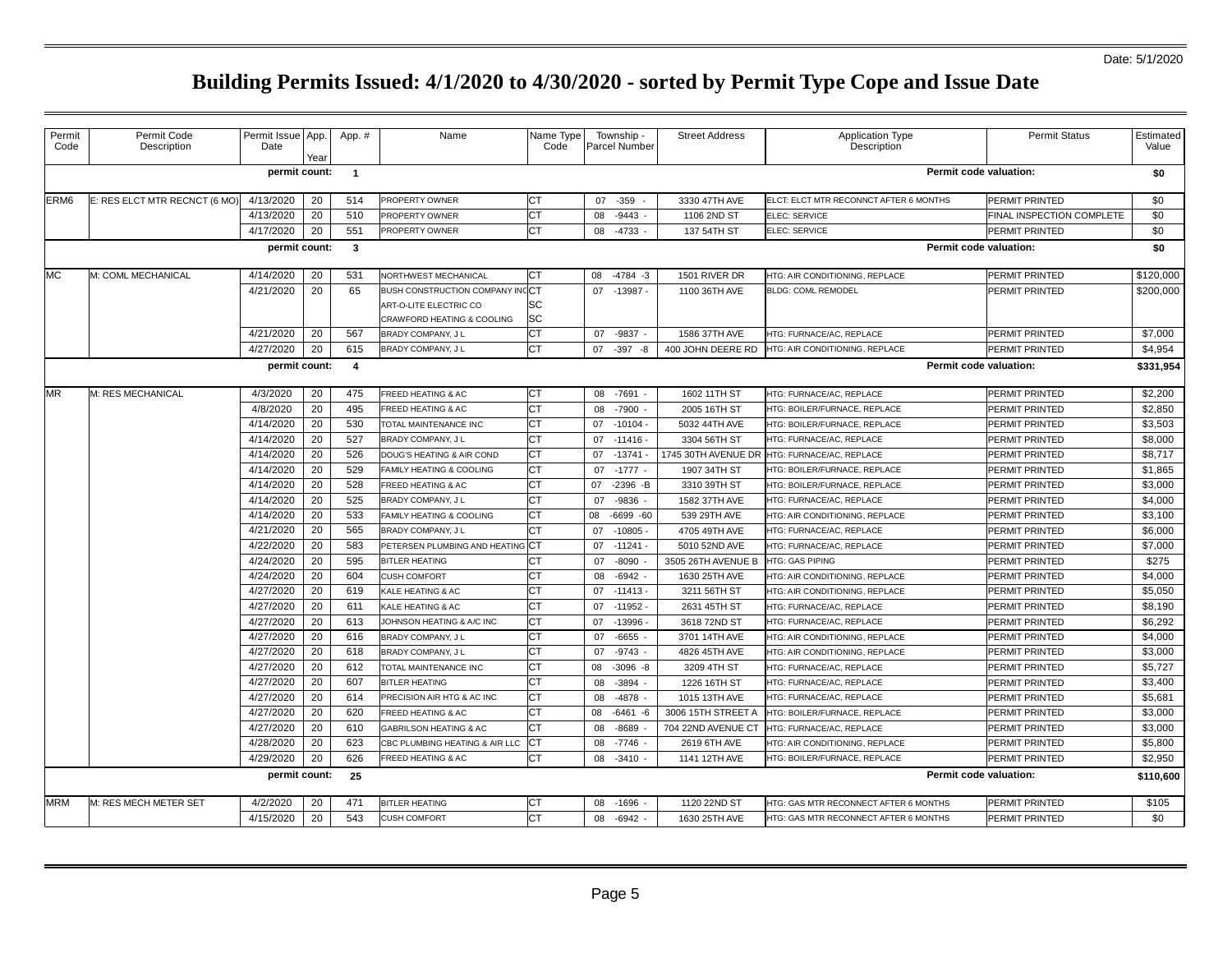## Date: 5/1/2020

| Permit<br>Code | Permit Code<br>Description    | Permit Issue App.<br>Date | Year | App. #                  | Name                            | Name Type<br>Code | Township -<br>Parcel Number | <b>Street Address</b> | <b>Application Type</b><br>Description | Permit Status             | Estimated<br>Value |
|----------------|-------------------------------|---------------------------|------|-------------------------|---------------------------------|-------------------|-----------------------------|-----------------------|----------------------------------------|---------------------------|--------------------|
|                |                               | permit count:             |      | $\overline{1}$          |                                 |                   |                             |                       |                                        | Permit code valuation:    | \$0                |
| ERM6           | E: RES ELCT MTR RECNCT (6 MO) | 4/13/2020                 | 20   | 514                     | PROPERTY OWNER                  | СT                | $-359 -$<br>07              | 3330 47TH AVE         | ELCT: ELCT MTR RECONNCT AFTER 6 MONTHS | PERMIT PRINTED            | \$0                |
|                |                               | 4/13/2020                 | 20   | 510                     | PROPERTY OWNER                  | CT                | 08<br>$-9443$               | 1106 2ND ST           | ELEC: SERVICE                          | FINAL INSPECTION COMPLETE | \$0                |
|                |                               | 4/17/2020                 | 20   | 551                     | PROPERTY OWNER                  | СT                | $-4733$<br>08               | 137 54TH ST           | ELEC: SERVICE                          | PERMIT PRINTED            | \$0                |
|                |                               | Permit code valuation:    | \$0  |                         |                                 |                   |                             |                       |                                        |                           |                    |
| МC             | M: COML MECHANICAL            | 4/14/2020                 | 20   | 531                     | NORTHWEST MECHANICAL            | СT                | $-4784 - 3$<br>08           | 1501 RIVER DR         | HTG: AIR CONDITIONING, REPLACE         | PERMIT PRINTED            | \$120,000          |
|                |                               | 4/21/2020                 | 20   | 65                      | BUSH CONSTRUCTION COMPANY INCCT |                   | 07 -13987 -                 | 1100 36TH AVE         | <b>BLDG: COML REMODEL</b>              | PERMIT PRINTED            | \$200,000          |
|                |                               |                           |      |                         | ART-O-LITE ELECTRIC CO          | SC                |                             |                       |                                        |                           |                    |
|                |                               |                           |      |                         | CRAWFORD HEATING & COOLING      | SC                |                             |                       |                                        |                           |                    |
|                |                               | 4/21/2020                 | 20   | 567                     | BRADY COMPANY, J L              | СT                | $-9837 -$<br>07             | 1586 37TH AVE         | HTG: FURNACE/AC, REPLACE               | PERMIT PRINTED            | \$7,000            |
|                |                               | 4/27/2020                 | 20   | 615                     | BRADY COMPANY, J L              | CT                | 07<br>$-397 - 8$            | 400 JOHN DEERE RD     | HTG: AIR CONDITIONING, REPLACE         | PERMIT PRINTED            | \$4,954            |
|                |                               | permit count:             |      | $\overline{\mathbf{4}}$ |                                 |                   |                             |                       |                                        | Permit code valuation:    | \$331,954          |
| MR             | M: RES MECHANICAL             | 4/3/2020                  | 20   | 475                     | FREED HEATING & AC              | СT                | $-7691 -$<br>08             | 1602 11TH ST          | HTG: FURNACE/AC, REPLACE               | PERMIT PRINTED            | \$2,200            |
|                |                               | 4/8/2020                  | 20   | 495                     | FREED HEATING & AC              | CT                | $-7900$<br>08               | 2005 16TH ST          | HTG: BOILER/FURNACE, REPLACE           | PERMIT PRINTED            | \$2,850            |
|                |                               | 4/14/2020                 | 20   | 530                     | TOTAL MAINTENANCE INC           | CT                | $-10104 -$<br>07            | 5032 44TH AVE         | HTG: BOILER/FURNACE, REPLACE           | PERMIT PRINTED            | \$3,503            |
|                |                               | 4/14/2020                 | 20   | 527                     | BRADY COMPANY, J L              | СT                | $-11416 -$<br>07            | 3304 56TH ST          | HTG: FURNACE/AC, REPLACE               | PERMIT PRINTED            | \$8,000            |
|                |                               | 4/14/2020                 | 20   | 526                     | DOUG'S HEATING & AIR COND       | СT                | $-13741 -$<br>07            | 1745 30TH AVENUE DR   | HTG: FURNACE/AC, REPLACE               | PERMIT PRINTED            | \$8,717            |
|                |                               | 4/14/2020                 | 20   | 529                     | FAMILY HEATING & COOLING        | <b>CT</b>         | $-1777 -$<br>07             | 1907 34TH ST          | HTG: BOILER/FURNACE, REPLACE           | PERMIT PRINTED            | \$1,865            |
|                |                               | 4/14/2020                 | 20   | 528                     | FREED HEATING & AC              | СT                | $-2396 - B$<br>07           | 3310 39TH ST          | HTG: BOILER/FURNACE, REPLACE           | PERMIT PRINTED            | \$3,000            |
|                |                               | 4/14/2020                 | 20   | 525                     | BRADY COMPANY, J L              | СT                | $-9836 -$<br>07             | 1582 37TH AVE         | HTG: FURNACE/AC, REPLACE               | PERMIT PRINTED            | \$4,000            |
|                |                               | 4/14/2020                 | 20   | 533                     | FAMILY HEATING & COOLING        | СT                | 80<br>$-6699 - 60$          | 539 29TH AVE          | HTG: AIR CONDITIONING, REPLACE         | PERMIT PRINTED            | \$3,100            |
|                |                               | 4/21/2020                 | 20   | 565                     | BRADY COMPANY, J L              | СT                | $-10805 -$<br>07            | 4705 49TH AVE         | HTG: FURNACE/AC, REPLACE               | PERMIT PRINTED            | \$6,000            |
|                |                               | 4/22/2020                 | 20   | 583                     | PETERSEN PLUMBING AND HEATING   | : СТ              | 07<br>$-11241 -$            | 5010 52ND AVE         | ITG: FURNACE/AC, REPLACE               | PERMIT PRINTED            | \$7,000            |
|                |                               | 4/24/2020                 | 20   | 595                     | <b>BITLER HEATING</b>           | СT                | $-8090$<br>07               | 3505 26TH AVENUE B    | <b>HTG: GAS PIPING</b>                 | PERMIT PRINTED            | \$275              |
|                |                               | 4/24/2020                 | 20   | 604                     | <b>CUSH COMFORT</b>             | СT                | $-6942$<br>08               | 1630 25TH AVE         | <b>ITG: AIR CONDITIONING, REPLACE</b>  | PERMIT PRINTED            | \$4,000            |
|                |                               | 4/27/2020                 | 20   | 619                     | KALE HEATING & AC               | СT                | $-11413 -$<br>07            | 3211 56TH ST          | HTG: AIR CONDITIONING, REPLACE         | PERMIT PRINTED            | \$5,050            |
|                |                               | 4/27/2020                 | 20   | 611                     | KALE HEATING & AC               | СT                | 07<br>$-11952 -$            | 2631 45TH ST          | HTG: FURNACE/AC, REPLACE               | PERMIT PRINTED            | \$8,190            |
|                |                               | 4/27/2020                 | 20   | 613                     | JOHNSON HEATING & A/C INC       | <b>CT</b>         | 07<br>$-13996$              | 3618 72ND ST          | <b>HTG: FURNACE/AC, REPLACE</b>        | PERMIT PRINTED            | \$6,292            |
|                |                               | 4/27/2020                 | 20   | 616                     | BRADY COMPANY, J L              | СT                | $-6655$<br>07               | 3701 14TH AVE         | HTG: AIR CONDITIONING, REPLACE         | PERMIT PRINTED            | \$4,000            |
|                |                               | 4/27/2020                 | 20   | 618                     | BRADY COMPANY, J L              | СT                | $-9743 -$<br>07             | 4826 45TH AVE         | HTG: AIR CONDITIONING, REPLACE         | PERMIT PRINTED            | \$3,000            |
|                |                               | 4/27/2020                 | 20   | 612                     | TOTAL MAINTENANCE INC           | СT                | $-3096 - 8$<br>08           | 3209 4TH ST           | HTG: FURNACE/AC. REPLACE               | PERMIT PRINTED            | \$5,727            |
|                |                               | 4/27/2020                 | 20   | 607                     | <b>BITLER HEATING</b>           | СT                | $-3894 -$<br>08             | 1226 16TH ST          | HTG: FURNACE/AC, REPLACE               | PERMIT PRINTED            | \$3,400            |
|                |                               | 4/27/2020                 | 20   | 614                     | PRECISION AIR HTG & AC INC      | CT                | -4878<br>08                 | 1015 13TH AVE         | ITG: FURNACE/AC, REPLACE               | PERMIT PRINTED            | \$5,681            |
|                |                               | 4/27/2020                 | 20   | 620                     | FREED HEATING & AC              | СT                | $-6461 - 6$<br>08           | 3006 15TH STREET A    | <b>HTG: BOILER/FURNACE, REPLACE</b>    | PERMIT PRINTED            | \$3,000            |
|                |                               | 4/27/2020                 | 20   | 610                     | GABRILSON HEATING & AC          | СT                | $-8689$<br>08               | 704 22ND AVENUE CT    | ITG: FURNACE/AC, REPLACE               | PERMIT PRINTED            | \$3,000            |
|                |                               | 4/28/2020                 | 20   | 623                     | CBC PLUMBING HEATING & AIR LLC  | CT                | $-7746$<br>08               | 2619 6TH AVE          | HTG: AIR CONDITIONING, REPLACE         | PERMIT PRINTED            | \$5,800            |
|                |                               | 4/29/2020                 | 20   | 626                     | FREED HEATING & AC              | СT                | $-3410$<br>08               | 1141 12TH AVE         | HTG: BOILER/FURNACE, REPLACE           | PERMIT PRINTED            | \$2,950            |
|                |                               | permit count:             |      | 25                      |                                 |                   |                             |                       |                                        | Permit code valuation:    | \$110,600          |
|                |                               |                           |      |                         |                                 |                   |                             |                       |                                        |                           |                    |
| <b>MRM</b>     | M: RES MECH METER SET         | 4/2/2020                  | 20   | 471                     | <b>BITLER HEATING</b>           | CТ                | $-1696$<br>08               | 1120 22ND ST          | HTG: GAS MTR RECONNECT AFTER 6 MONTHS  | PERMIT PRINTED            | \$105              |
|                |                               | 4/15/2020                 | 20   | 543                     | <b>CUSH COMFORT</b>             | СT                | $-6942 -$<br>08             | 1630 25TH AVE         | HTG: GAS MTR RECONNECT AFTER 6 MONTHS  | PERMIT PRINTED            | \$0                |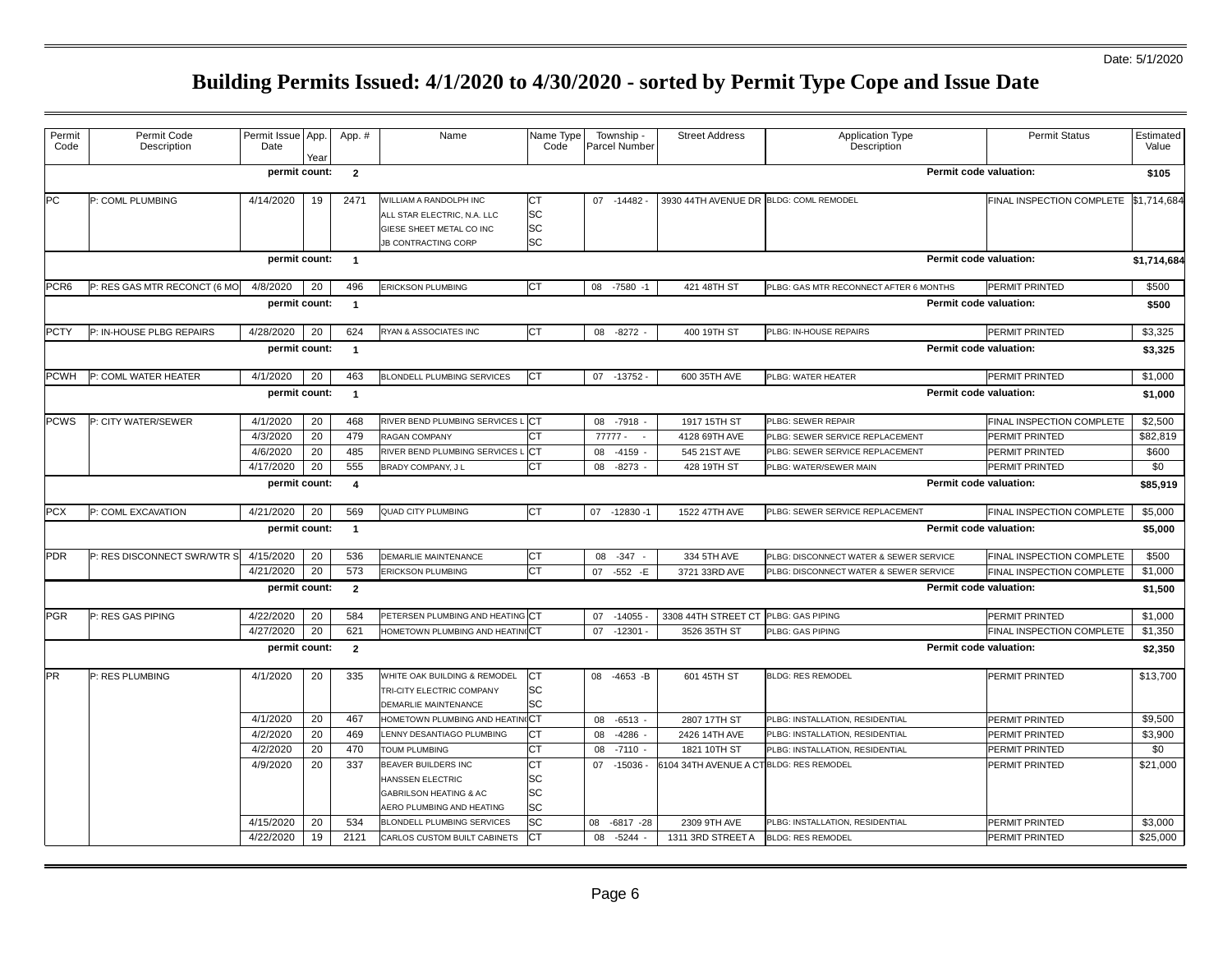| Permit<br>Code   | Permit Code<br>Description   | Permit Issue App.<br>Date | Year | App. #                  | Name                                                                                                             | Name Type<br>Code                  | Township -<br>Parcel Number | <b>Street Address</b>                   | Application Type<br>Description        | <b>Permit Status</b>                  | Estimated<br>Value |
|------------------|------------------------------|---------------------------|------|-------------------------|------------------------------------------------------------------------------------------------------------------|------------------------------------|-----------------------------|-----------------------------------------|----------------------------------------|---------------------------------------|--------------------|
|                  |                              | permit count:             |      | $\overline{2}$          |                                                                                                                  |                                    |                             |                                         |                                        | Permit code valuation:                | \$105              |
| <b>PC</b>        | P: COML PLUMBING             | 4/14/2020                 | 19   | 2471                    | WILLIAM A RANDOLPH INC<br>ALL STAR ELECTRIC, N.A. LLC<br>GIESE SHEET METAL CO INC<br><b>JB CONTRACTING CORP</b>  | СT<br>SC<br><b>SC</b><br><b>SC</b> | 07 -14482 -                 | 3930 44TH AVENUE DR BLDG: COML REMODEL  |                                        | FINAL INSPECTION COMPLETE \$1,714,684 |                    |
|                  |                              | permit count:             |      | $\overline{1}$          |                                                                                                                  |                                    |                             |                                         |                                        | Permit code valuation:                | \$1,714,684        |
| PCR <sub>6</sub> | P: RES GAS MTR RECONCT (6 MC | 4/8/2020                  | 20   | 496                     | ERICKSON PLUMBING                                                                                                | <b>CT</b>                          | -7580<br>08<br>$-1$         | 421 48TH ST                             | PLBG: GAS MTR RECONNECT AFTER 6 MONTHS | PERMIT PRINTED                        | \$500              |
|                  |                              | permit count:             |      | $\overline{1}$          |                                                                                                                  |                                    |                             |                                         |                                        | Permit code valuation:                | \$500              |
| <b>PCTY</b>      | P: IN-HOUSE PLBG REPAIRS     | 4/28/2020                 | 20   | 624                     | RYAN & ASSOCIATES INC                                                                                            | СT                                 | 08 -8272                    | 400 19TH ST                             | PLBG: IN-HOUSE REPAIRS                 | PERMIT PRINTED                        | \$3,325            |
|                  |                              | permit count:             |      | $\overline{1}$          |                                                                                                                  |                                    |                             |                                         |                                        | Permit code valuation:                | \$3,325            |
| <b>PCWH</b>      | P: COML WATER HEATER         | 4/1/2020                  | 20   | 463                     | <b>BLONDELL PLUMBING SERVICES</b>                                                                                | <b>ICT</b>                         | 07 -13752 -                 | 600 35TH AVE                            | PLBG: WATER HEATER                     | PERMIT PRINTED                        | \$1,000            |
|                  |                              | permit count:             |      | $\overline{1}$          |                                                                                                                  |                                    |                             |                                         |                                        | Permit code valuation:                | \$1,000            |
| <b>PCWS</b>      | P: CITY WATER/SEWER          | 4/1/2020                  | 20   | 468                     | RIVER BEND PLUMBING SERVICES I                                                                                   | <b>ICT</b>                         | 08 -7918                    | 1917 15TH ST                            | PLBG: SEWER REPAIR                     | FINAL INSPECTION COMPLETE             | \$2,500            |
|                  |                              | 4/3/2020                  | 20   | 479                     | RAGAN COMPANY                                                                                                    | СT                                 | 77777 -                     | 4128 69TH AVE                           | PLBG: SEWER SERVICE REPLACEMENT        | PERMIT PRINTED                        | \$82.819           |
|                  |                              | 4/6/2020                  | 20   | 485                     | RIVER BEND PLUMBING SERVICES I                                                                                   | <b>ICT</b>                         | 08<br>$-4159$               | 545 21ST AVE                            | PLBG: SEWER SERVICE REPLACEMENT        | PERMIT PRINTED                        | \$600              |
|                  |                              | 4/17/2020                 | 20   | 555                     | BRADY COMPANY, J L                                                                                               | CT                                 | $-8273$<br>08               | 428 19TH ST                             | PLBG: WATER/SEWER MAIN                 | PERMIT PRINTED                        | \$0                |
|                  |                              | permit count:             |      | $\overline{4}$          |                                                                                                                  |                                    |                             |                                         |                                        | Permit code valuation:                | \$85,919           |
| <b>PCX</b>       | P: COML EXCAVATION           | 4/21/2020                 | 20   | 569                     | QUAD CITY PLUMBING                                                                                               | СT                                 | 07 -12830 -1                | 1522 47TH AVE                           | PLBG: SEWER SERVICE REPLACEMENT        | FINAL INSPECTION COMPLETE             | \$5,000            |
|                  |                              | permit count:             |      | $\overline{1}$          |                                                                                                                  |                                    |                             |                                         |                                        | Permit code valuation:                | \$5,000            |
| <b>PDR</b>       | P: RES DISCONNECT SWR/WTR S  | 4/15/2020                 | 20   | 536                     | DEMARLIE MAINTENANCE                                                                                             | СT                                 | $-347 -$<br>08              | 334 5TH AVE                             | PLBG: DISCONNECT WATER & SEWER SERVICE | FINAL INSPECTION COMPLETE             | \$500              |
|                  |                              | 4/21/2020                 | 20   | 573                     | ERICKSON PLUMBING                                                                                                | CT                                 | $-552 - E$<br>07            | 3721 33RD AVE                           | PLBG: DISCONNECT WATER & SEWER SERVICE | FINAL INSPECTION COMPLETE             | \$1,000            |
|                  |                              | permit count:             |      | $\overline{2}$          |                                                                                                                  |                                    |                             |                                         |                                        | Permit code valuation:                | \$1,500            |
| <b>PGR</b>       | P: RES GAS PIPING            | 4/22/2020                 | 20   | 584                     | PETERSEN PLUMBING AND HEATING CT                                                                                 |                                    | 07<br>$-14055$              | 3308 44TH STREET CT                     | <b>LBG: GAS PIPING</b>                 | PERMIT PRINTED                        | \$1,000            |
|                  |                              | 4/27/2020                 | 20   | 621                     | HOMETOWN PLUMBING AND HEATING CT                                                                                 |                                    | 07 -12301                   | 3526 35TH ST                            | PLBG: GAS PIPING                       | FINAL INSPECTION COMPLETE             | \$1,350            |
|                  |                              | permit count:             |      | $\overline{\mathbf{2}}$ |                                                                                                                  |                                    |                             |                                         |                                        | Permit code valuation:                | \$2,350            |
| <b>PR</b>        | P: RES PLUMBING              | 4/1/2020                  | 20   | 335                     | WHITE OAK BUILDING & REMODEL<br>TRI-CITY ELECTRIC COMPANY<br>DEMARLIE MAINTENANCE                                | <b>CT</b><br>SC<br>SC              | $-4653 - B$<br>08           | 601 45TH ST                             | <b>BLDG: RES REMODEL</b>               | PERMIT PRINTED                        | \$13,700           |
|                  |                              | 4/1/2020                  | 20   | 467                     | HOMETOWN PLUMBING AND HEATIN                                                                                     | ١CТ                                | $-6513 -$<br>08             | 2807 17TH ST                            | PLBG: INSTALLATION, RESIDENTIAL        | PERMIT PRINTED                        | \$9,500            |
|                  |                              | 4/2/2020                  | 20   | 469                     | LENNY DESANTIAGO PLUMBING                                                                                        | CT                                 | -4286<br>08                 | 2426 14TH AVE                           | PLBG: INSTALLATION, RESIDENTIAL        | PERMIT PRINTED                        | \$3,900            |
|                  |                              | 4/2/2020                  | 20   | 470                     | <b>TOUM PLUMBING</b>                                                                                             | CT                                 | 08<br>$-7110 -$             | 1821 10TH ST                            | PLBG: INSTALLATION, RESIDENTIAL        | PERMIT PRINTED                        | \$0                |
|                  |                              | 4/9/2020                  | 20   | 337                     | BEAVER BUILDERS INC<br>HANSSEN ELECTRIC<br><b>GABRILSON HEATING &amp; AC</b><br><b>AERO PLUMBING AND HEATING</b> | СT<br>SC<br>SC<br>SC               | $-15036 -$<br>07            | 6104 34TH AVENUE A CT BLDG: RES REMODEL |                                        | PERMIT PRINTED                        | \$21,000           |
|                  |                              | 4/15/2020                 | 20   | 534                     | <b>BLONDELL PLUMBING SERVICES</b>                                                                                | SC                                 | 08<br>$-6817 -28$           | 2309 9TH AVE                            | PLBG: INSTALLATION, RESIDENTIAL        | PERMIT PRINTED                        | \$3,000            |
|                  |                              | 4/22/2020                 | 19   | 2121                    | CARLOS CUSTOM BUILT CABINETS                                                                                     | <b>CT</b>                          | $-5244 -$<br>08             | 1311 3RD STREET A                       | <b>BLDG: RES REMODEL</b>               | PERMIT PRINTED                        | \$25,000           |